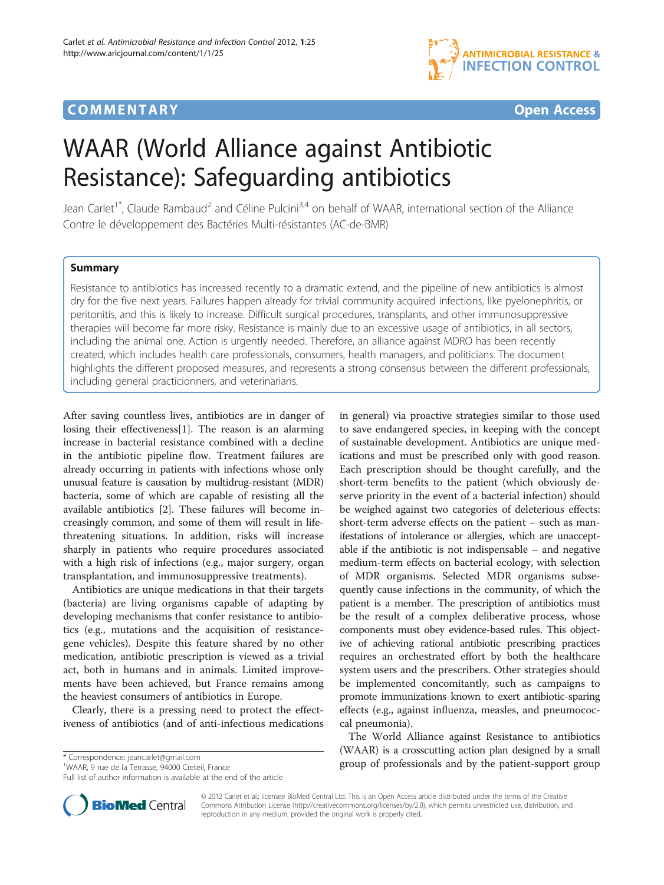## **COMMENTARY COMMENTARY Open Access**



# WAAR (World Alliance against Antibiotic Resistance): Safeguarding antibiotics

Jean Carlet<sup>1\*</sup>, Claude Rambaud<sup>2</sup> and Céline Pulcini<sup>3,4</sup> on behalf of WAAR, international section of the Alliance Contre le développement des Bactéries Multi-résistantes (AC-de-BMR)

#### Summary

Resistance to antibiotics has increased recently to a dramatic extend, and the pipeline of new antibiotics is almost dry for the five next years. Failures happen already for trivial community acquired infections, like pyelonephritis, or peritonitis, and this is likely to increase. Difficult surgical procedures, transplants, and other immunosuppressive therapies will become far more risky. Resistance is mainly due to an excessive usage of antibiotics, in all sectors, including the animal one. Action is urgently needed. Therefore, an alliance against MDRO has been recently created, which includes health care professionals, consumers, health managers, and politicians. The document highlights the different proposed measures, and represents a strong consensus between the different professionals, including general practicionners, and veterinarians.

After saving countless lives, antibiotics are in danger of losing their effectiveness[[1\]](#page-5-0). The reason is an alarming increase in bacterial resistance combined with a decline in the antibiotic pipeline flow. Treatment failures are already occurring in patients with infections whose only unusual feature is causation by multidrug-resistant (MDR) bacteria, some of which are capable of resisting all the available antibiotics [[2\]](#page-5-0). These failures will become increasingly common, and some of them will result in lifethreatening situations. In addition, risks will increase sharply in patients who require procedures associated with a high risk of infections (e.g., major surgery, organ transplantation, and immunosuppressive treatments).

Antibiotics are unique medications in that their targets (bacteria) are living organisms capable of adapting by developing mechanisms that confer resistance to antibiotics (e.g., mutations and the acquisition of resistancegene vehicles). Despite this feature shared by no other medication, antibiotic prescription is viewed as a trivial act, both in humans and in animals. Limited improvements have been achieved, but France remains among the heaviest consumers of antibiotics in Europe.

Clearly, there is a pressing need to protect the effectiveness of antibiotics (and of anti-infectious medications

Full list of author information is available at the end of the article

in general) via proactive strategies similar to those used to save endangered species, in keeping with the concept of sustainable development. Antibiotics are unique medications and must be prescribed only with good reason. Each prescription should be thought carefully, and the short-term benefits to the patient (which obviously deserve priority in the event of a bacterial infection) should be weighed against two categories of deleterious effects: short-term adverse effects on the patient – such as manifestations of intolerance or allergies, which are unacceptable if the antibiotic is not indispensable – and negative medium-term effects on bacterial ecology, with selection of MDR organisms. Selected MDR organisms subsequently cause infections in the community, of which the patient is a member. The prescription of antibiotics must be the result of a complex deliberative process, whose components must obey evidence-based rules. This objective of achieving rational antibiotic prescribing practices requires an orchestrated effort by both the healthcare system users and the prescribers. Other strategies should be implemented concomitantly, such as campaigns to promote immunizations known to exert antibiotic-sparing effects (e.g., against influenza, measles, and pneumococcal pneumonia).

The World Alliance against Resistance to antibiotics (WAAR) is a crosscutting action plan designed by a small \* Correspondence: [jeancarlet@gmail.com](mailto:jeancarlet@gmail.com)<br>
<sup>1</sup>WAAR\_9\_rue de\_la\_Terrasse\_94000 Creteil\_France 10000 professionals and by the patient-support group <sup>1</sup>WAAR\_9\_rue de\_la\_Terrasse\_94000 Creteil\_France



© 2012 Carlet et al.; licensee BioMed Central Ltd. This is an Open Access article distributed under the terms of the Creative Commons Attribution License [\(http://creativecommons.org/licenses/by/2.0\)](http://creativecommons.org/licenses/by/2.0), which permits unrestricted use, distribution, and reproduction in any medium, provided the original work is properly cited.

<sup>&</sup>lt;sup>1</sup>WAAR, 9 rue de la Terrasse, 94000 Creteil, France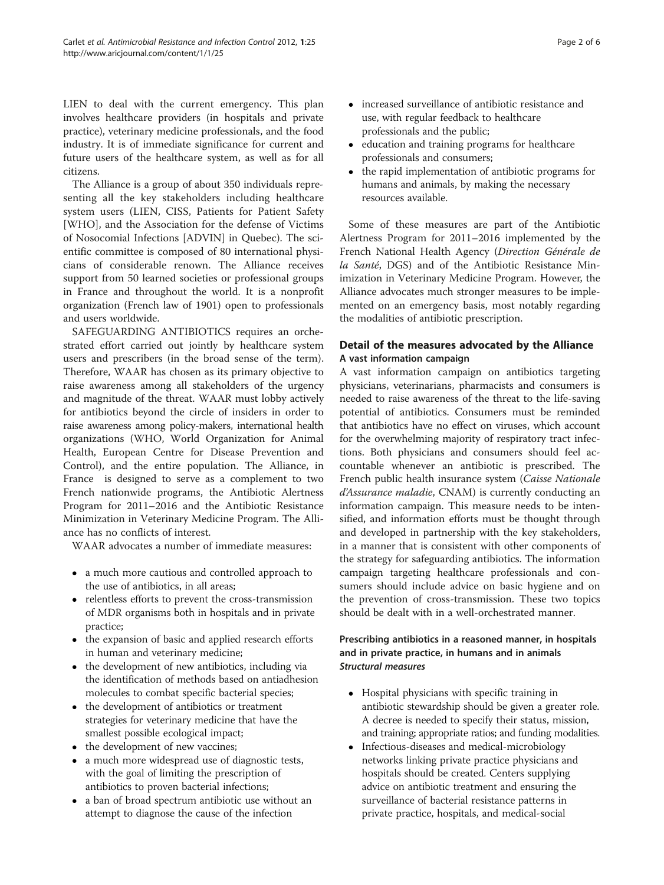LIEN to deal with the current emergency. This plan involves healthcare providers (in hospitals and private practice), veterinary medicine professionals, and the food industry. It is of immediate significance for current and future users of the healthcare system, as well as for all citizens.

The Alliance is a group of about 350 individuals representing all the key stakeholders including healthcare system users (LIEN, CISS, Patients for Patient Safety [WHO], and the Association for the defense of Victims of Nosocomial Infections [ADVIN] in Quebec). The scientific committee is composed of 80 international physicians of considerable renown. The Alliance receives support from 50 learned societies or professional groups in France and throughout the world. It is a nonprofit organization (French law of 1901) open to professionals and users worldwide.

SAFEGUARDING ANTIBIOTICS requires an orchestrated effort carried out jointly by healthcare system users and prescribers (in the broad sense of the term). Therefore, WAAR has chosen as its primary objective to raise awareness among all stakeholders of the urgency and magnitude of the threat. WAAR must lobby actively for antibiotics beyond the circle of insiders in order to raise awareness among policy-makers, international health organizations (WHO, World Organization for Animal Health, European Centre for Disease Prevention and Control), and the entire population. The Alliance, in France is designed to serve as a complement to two French nationwide programs, the Antibiotic Alertness Program for 2011–2016 and the Antibiotic Resistance Minimization in Veterinary Medicine Program. The Alliance has no conflicts of interest.

WAAR advocates a number of immediate measures:

- a much more cautious and controlled approach to the use of antibiotics, in all areas;
- relentless efforts to prevent the cross-transmission of MDR organisms both in hospitals and in private practice;
- the expansion of basic and applied research efforts in human and veterinary medicine;
- the development of new antibiotics, including via the identification of methods based on antiadhesion molecules to combat specific bacterial species;
- the development of antibiotics or treatment strategies for veterinary medicine that have the smallest possible ecological impact;
- the development of new vaccines;
- a much more widespread use of diagnostic tests, with the goal of limiting the prescription of antibiotics to proven bacterial infections;
- a ban of broad spectrum antibiotic use without an attempt to diagnose the cause of the infection
- increased surveillance of antibiotic resistance and use, with regular feedback to healthcare professionals and the public;
- education and training programs for healthcare professionals and consumers;
- the rapid implementation of antibiotic programs for humans and animals, by making the necessary resources available.

Some of these measures are part of the Antibiotic Alertness Program for 2011–2016 implemented by the French National Health Agency (Direction Générale de la Santé, DGS) and of the Antibiotic Resistance Minimization in Veterinary Medicine Program. However, the Alliance advocates much stronger measures to be implemented on an emergency basis, most notably regarding the modalities of antibiotic prescription.

### Detail of the measures advocated by the Alliance A vast information campaign

A vast information campaign on antibiotics targeting physicians, veterinarians, pharmacists and consumers is needed to raise awareness of the threat to the life-saving potential of antibiotics. Consumers must be reminded that antibiotics have no effect on viruses, which account for the overwhelming majority of respiratory tract infections. Both physicians and consumers should feel accountable whenever an antibiotic is prescribed. The French public health insurance system (Caisse Nationale d'Assurance maladie, CNAM) is currently conducting an information campaign. This measure needs to be intensified, and information efforts must be thought through and developed in partnership with the key stakeholders, in a manner that is consistent with other components of the strategy for safeguarding antibiotics. The information campaign targeting healthcare professionals and consumers should include advice on basic hygiene and on the prevention of cross-transmission. These two topics should be dealt with in a well-orchestrated manner.

### Prescribing antibiotics in a reasoned manner, in hospitals and in private practice, in humans and in animals Structural measures

- Hospital physicians with specific training in antibiotic stewardship should be given a greater role. A decree is needed to specify their status, mission, and training; appropriate ratios; and funding modalities.
- Infectious-diseases and medical-microbiology networks linking private practice physicians and hospitals should be created. Centers supplying advice on antibiotic treatment and ensuring the surveillance of bacterial resistance patterns in private practice, hospitals, and medical-social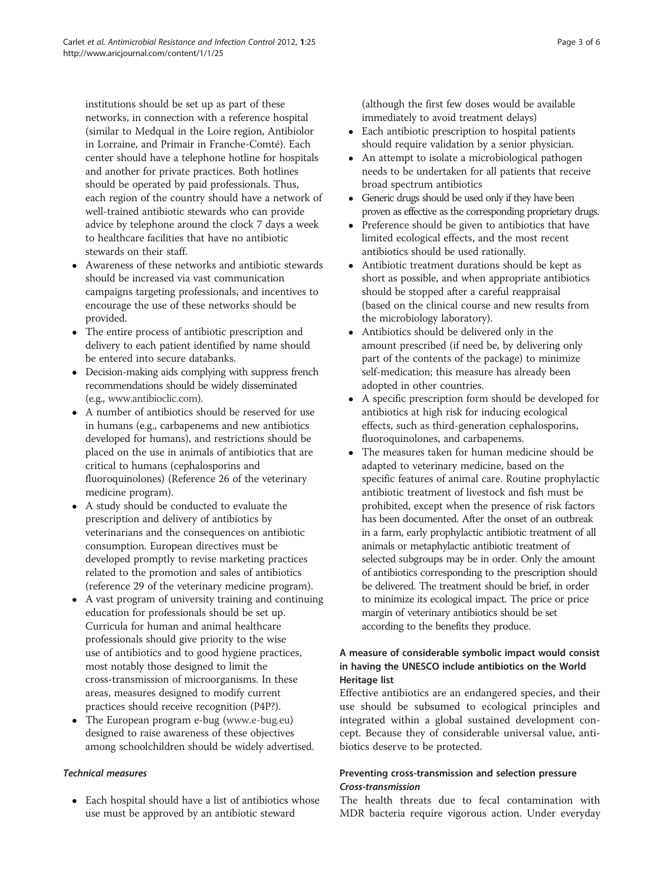institutions should be set up as part of these networks, in connection with a reference hospital (similar to Medqual in the Loire region, Antibiolor in Lorraine, and Primair in Franche-Comté). Each center should have a telephone hotline for hospitals and another for private practices. Both hotlines should be operated by paid professionals. Thus, each region of the country should have a network of well-trained antibiotic stewards who can provide advice by telephone around the clock 7 days a week to healthcare facilities that have no antibiotic stewards on their staff.

- Awareness of these networks and antibiotic stewards should be increased via vast communication campaigns targeting professionals, and incentives to encourage the use of these networks should be provided.
- The entire process of antibiotic prescription and delivery to each patient identified by name should be entered into secure databanks.
- Decision-making aids complying with suppress french recommendations should be widely disseminated (e.g., [www.antibioclic.com](http://www.antibioclic.com)).
- A number of antibiotics should be reserved for use in humans (e.g., carbapenems and new antibiotics developed for humans), and restrictions should be placed on the use in animals of antibiotics that are critical to humans (cephalosporins and fluoroquinolones) (Reference 26 of the veterinary medicine program).
- A study should be conducted to evaluate the prescription and delivery of antibiotics by veterinarians and the consequences on antibiotic consumption. European directives must be developed promptly to revise marketing practices related to the promotion and sales of antibiotics (reference 29 of the veterinary medicine program).
- A vast program of university training and continuing education for professionals should be set up. Curricula for human and animal healthcare professionals should give priority to the wise use of antibiotics and to good hygiene practices, most notably those designed to limit the cross-transmission of microorganisms. In these areas, measures designed to modify current practices should receive recognition (P4P?).
- The European program e-bug [\(www.e-bug.eu](http://www.e-bug.eu)) designed to raise awareness of these objectives among schoolchildren should be widely advertised.

• Each hospital should have a list of antibiotics whose use must be approved by an antibiotic steward

(although the first few doses would be available immediately to avoid treatment delays)

- Each antibiotic prescription to hospital patients should require validation by a senior physician.
- An attempt to isolate a microbiological pathogen needs to be undertaken for all patients that receive broad spectrum antibiotics
- Generic drugs should be used only if they have been proven as effective as the corresponding proprietary drugs.
- Preference should be given to antibiotics that have limited ecological effects, and the most recent antibiotics should be used rationally.
- Antibiotic treatment durations should be kept as short as possible, and when appropriate antibiotics should be stopped after a careful reappraisal (based on the clinical course and new results from the microbiology laboratory).
- Antibiotics should be delivered only in the amount prescribed (if need be, by delivering only part of the contents of the package) to minimize self-medication; this measure has already been adopted in other countries.
- A specific prescription form should be developed for antibiotics at high risk for inducing ecological effects, such as third-generation cephalosporins, fluoroquinolones, and carbapenems.
- The measures taken for human medicine should be adapted to veterinary medicine, based on the specific features of animal care. Routine prophylactic antibiotic treatment of livestock and fish must be prohibited, except when the presence of risk factors has been documented. After the onset of an outbreak in a farm, early prophylactic antibiotic treatment of all animals or metaphylactic antibiotic treatment of selected subgroups may be in order. Only the amount of antibiotics corresponding to the prescription should be delivered. The treatment should be brief, in order to minimize its ecological impact. The price or price margin of veterinary antibiotics should be set according to the benefits they produce.

### A measure of considerable symbolic impact would consist in having the UNESCO include antibiotics on the World Heritage list

Effective antibiotics are an endangered species, and their use should be subsumed to ecological principles and integrated within a global sustained development concept. Because they of considerable universal value, antibiotics deserve to be protected.

## Preventing cross-transmission and selection pressure

The health threats due to fecal contamination with MDR bacteria require vigorous action. Under everyday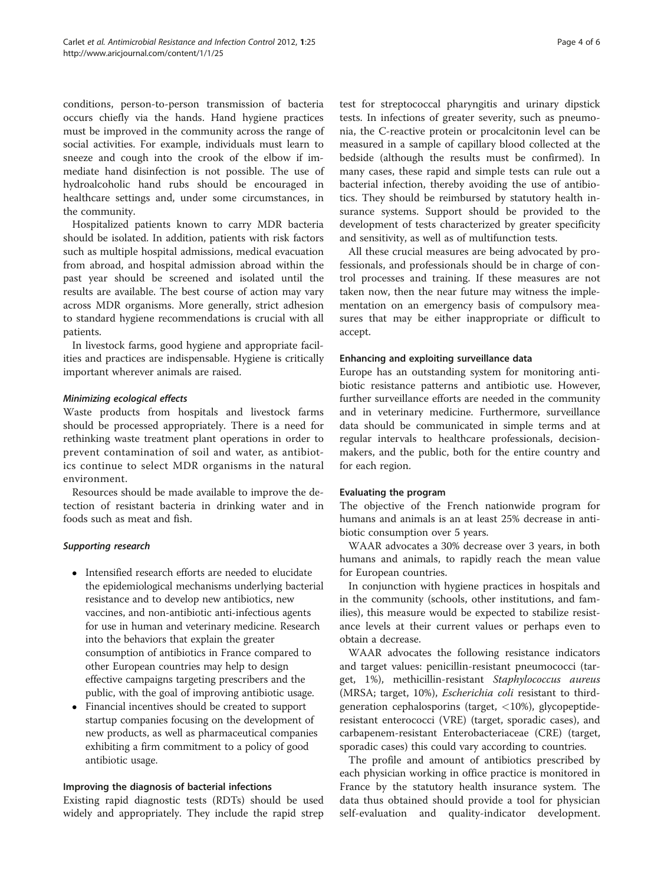conditions, person-to-person transmission of bacteria occurs chiefly via the hands. Hand hygiene practices must be improved in the community across the range of social activities. For example, individuals must learn to sneeze and cough into the crook of the elbow if immediate hand disinfection is not possible. The use of hydroalcoholic hand rubs should be encouraged in healthcare settings and, under some circumstances, in the community.

Hospitalized patients known to carry MDR bacteria should be isolated. In addition, patients with risk factors such as multiple hospital admissions, medical evacuation from abroad, and hospital admission abroad within the past year should be screened and isolated until the results are available. The best course of action may vary across MDR organisms. More generally, strict adhesion to standard hygiene recommendations is crucial with all patients.

In livestock farms, good hygiene and appropriate facilities and practices are indispensable. Hygiene is critically important wherever animals are raised.

Waste products from hospitals and livestock farms should be processed appropriately. There is a need for rethinking waste treatment plant operations in order to prevent contamination of soil and water, as antibiotics continue to select MDR organisms in the natural environment.

Resources should be made available to improve the detection of resistant bacteria in drinking water and in foods such as meat and fish.

#### Supporting research

- Intensified research efforts are needed to elucidate the epidemiological mechanisms underlying bacterial resistance and to develop new antibiotics, new vaccines, and non-antibiotic anti-infectious agents for use in human and veterinary medicine. Research into the behaviors that explain the greater consumption of antibiotics in France compared to other European countries may help to design effective campaigns targeting prescribers and the public, with the goal of improving antibiotic usage.
- Financial incentives should be created to support startup companies focusing on the development of new products, as well as pharmaceutical companies exhibiting a firm commitment to a policy of good antibiotic usage.

#### Improving the diagnosis of bacterial infections

Existing rapid diagnostic tests (RDTs) should be used widely and appropriately. They include the rapid strep

test for streptococcal pharyngitis and urinary dipstick tests. In infections of greater severity, such as pneumonia, the C-reactive protein or procalcitonin level can be measured in a sample of capillary blood collected at the bedside (although the results must be confirmed). In many cases, these rapid and simple tests can rule out a bacterial infection, thereby avoiding the use of antibiotics. They should be reimbursed by statutory health insurance systems. Support should be provided to the development of tests characterized by greater specificity and sensitivity, as well as of multifunction tests.

All these crucial measures are being advocated by professionals, and professionals should be in charge of control processes and training. If these measures are not taken now, then the near future may witness the implementation on an emergency basis of compulsory measures that may be either inappropriate or difficult to accept.

#### Enhancing and exploiting surveillance data

Europe has an outstanding system for monitoring antibiotic resistance patterns and antibiotic use. However, further surveillance efforts are needed in the community and in veterinary medicine. Furthermore, surveillance data should be communicated in simple terms and at regular intervals to healthcare professionals, decisionmakers, and the public, both for the entire country and for each region.

#### Evaluating the program

The objective of the French nationwide program for humans and animals is an at least 25% decrease in antibiotic consumption over 5 years.

WAAR advocates a 30% decrease over 3 years, in both humans and animals, to rapidly reach the mean value for European countries.

In conjunction with hygiene practices in hospitals and in the community (schools, other institutions, and families), this measure would be expected to stabilize resistance levels at their current values or perhaps even to obtain a decrease.

WAAR advocates the following resistance indicators and target values: penicillin-resistant pneumococci (target, 1%), methicillin-resistant Staphylococcus aureus (MRSA; target, 10%), Escherichia coli resistant to thirdgeneration cephalosporins (target, <10%), glycopeptideresistant enterococci (VRE) (target, sporadic cases), and carbapenem-resistant Enterobacteriaceae (CRE) (target, sporadic cases) this could vary according to countries.

The profile and amount of antibiotics prescribed by each physician working in office practice is monitored in France by the statutory health insurance system. The data thus obtained should provide a tool for physician self-evaluation and quality-indicator development.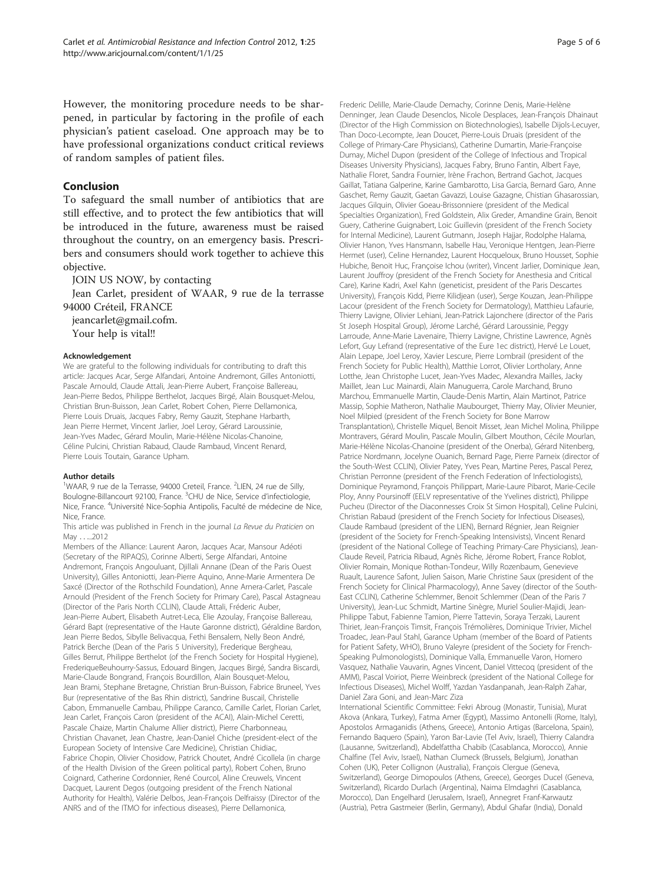However, the monitoring procedure needs to be sharpened, in particular by factoring in the profile of each physician's patient caseload. One approach may be to have professional organizations conduct critical reviews of random samples of patient files.

#### Conclusion

To safeguard the small number of antibiotics that are still effective, and to protect the few antibiotics that will be introduced in the future, awareness must be raised throughout the country, on an emergency basis. Prescribers and consumers should work together to achieve this objective.

JOIN US NOW, by contacting Jean Carlet, president of WAAR, 9 rue de la terrasse 94000 Créteil, FRANCE

jeancarlet@gmail.cofm. Your help is vital!!

#### Acknowledgement

We are grateful to the following individuals for contributing to draft this article: Jacques Acar, Serge Alfandari, Antoine Andremont, Gilles Antoniotti, Pascale Arnould, Claude Attali, Jean-Pierre Aubert, Françoise Ballereau, Jean-Pierre Bedos, Philippe Berthelot, Jacques Birgé, Alain Bousquet-Melou, Christian Brun-Buisson, Jean Carlet, Robert Cohen, Pierre Dellamonica, Pierre Louis Druais, Jacques Fabry, Remy Gauzit, Stephane Harbarth, Jean Pierre Hermet, Vincent Jarlier, Joel Leroy, Gérard Laroussinie, Jean-Yves Madec, Gérard Moulin, Marie-Hélène Nicolas-Chanoine, Céline Pulcini, Christian Rabaud, Claude Rambaud, Vincent Renard, Pierre Louis Toutain, Garance Upham.

#### Author details

<sup>1</sup>WAAR, 9 rue de la Terrasse, 94000 Creteil, France. <sup>2</sup>LIEN, 24 rue de Silly, Boulogne-Billancourt 92100, France. <sup>3</sup>CHU de Nice, Service d'infectiologie, Nice, France. <sup>4</sup>Université Nice-Sophia Antipolis, Faculté de médecine de Nice, Nice, France.

This article was published in French in the journal La Revue du Praticien on May .....2012

Members of the Alliance: Laurent Aaron, Jacques Acar, Mansour Adéoti (Secretary of the RIPAQS), Corinne Alberti, Serge Alfandari, Antoine Andremont, François Angouluant, Djillali Annane (Dean of the Paris Ouest University), Gilles Antoniotti, Jean-Pierre Aquino, Anne-Marie Armentera De Saxcé (Director of the Rothschild Foundation), Anne Arnera-Carlet, Pascale Arnould (President of the French Society for Primary Care), Pascal Astagneau (Director of the Paris North CCLIN), Claude Attali, Fréderic Auber, Jean-Pierre Aubert, Elisabeth Autret-Leca, Elie Azoulay, Françoise Ballereau, Gérard Bapt (representative of the Haute Garonne district), Géraldine Bardon, Jean Pierre Bedos, Sibylle Belivacqua, Fethi Bensalem, Nelly Beon André, Patrick Berche (Dean of the Paris 5 University), Frederique Bergheau, Gilles Berrut, Philippe Berthelot (of the French Society for Hospital Hygiene), FrederiqueBeuhourry-Sassus, Edouard Bingen, Jacques Birgé, Sandra Biscardi, Marie-Claude Bongrand, François Bourdillon, Alain Bousquet-Melou, Jean Brami, Stephane Bretagne, Christian Brun-Buisson, Fabrice Bruneel, Yves Bur (representative of the Bas Rhin district), Sandrine Buscail, Christelle Cabon, Emmanuelle Cambau, Philippe Caranco, Camille Carlet, Florian Carlet, Jean Carlet, François Caron (president of the ACAI), Alain-Michel Ceretti, Pascale Chaize, Martin Chalume Allier district), Pierre Charbonneau, Christian Chavanet, Jean Chastre, Jean-Daniel Chiche (president-elect of the European Society of Intensive Care Medicine), Christian Chidiac, Fabrice Chopin, Olivier Chosidow, Patrick Choutet, André Cicollela (in charge of the Health Division of the Green political party), Robert Cohen, Bruno Coignard, Catherine Cordonnier, René Courcol, Aline Creuwels, Vincent Dacquet, Laurent Degos (outgoing president of the French National Authority for Health), Valérie Delbos, Jean-François Delfraissy (Director of the ANRS and of the ITMO for infectious diseases), Pierre Dellamonica,

Frederic Delille, Marie-Claude Demachy, Corinne Denis, Marie-Helène Denninger, Jean Claude Desenclos, Nicole Desplaces, Jean-François Dhainaut (Director of the High Commission on Biotechnologies), Isabelle Dijols-Lecuyer, Than Doco-Lecompte, Jean Doucet, Pierre-Louis Druais (president of the College of Primary-Care Physicians), Catherine Dumartin, Marie-Françoise Dumay, Michel Dupon (president of the College of Infectious and Tropical Diseases University Physicians), Jacques Fabry, Bruno Fantin, Albert Faye, Nathalie Floret, Sandra Fournier, Irène Frachon, Bertrand Gachot, Jacques Gaillat, Tatiana Galperine, Karine Gambarotto, Lisa Garcia, Bernard Garo, Anne Gaschet, Remy Gauzit, Gaetan Gavazzi, Louise Gazagne, Chistian Ghasarossian, Jacques Gilquin, Olivier Goeau-Brissonniere (president of the Medical Specialties Organization), Fred Goldstein, Alix Greder, Amandine Grain, Benoit Guery, Catherine Guignabert, Loic Guillevin (president of the French Society for Internal Medicine), Laurent Gutmann, Joseph Hajjar, Rodolphe Halama, Olivier Hanon, Yves Hansmann, Isabelle Hau, Veronique Hentgen, Jean-Pierre Hermet (user), Celine Hernandez, Laurent Hocqueloux, Bruno Housset, Sophie Hubiche, Benoit Huc, Françoise Ichou (writer), Vincent Jarlier, Dominique Jean, Laurent Jouffroy (president of the French Society for Anesthesia and Critical Care), Karine Kadri, Axel Kahn (geneticist, president of the Paris Descartes University), François Kidd, Pierre Kilidjean (user), Serge Kouzan, Jean-Philippe Lacour (president of the French Society for Dermatology), Matthieu Lafaurie, Thierry Lavigne, Olivier Lehiani, Jean-Patrick Lajonchere (director of the Paris St Joseph Hospital Group), Jérome Larché, Gérard Laroussinie, Peggy Larroude, Anne-Marie Lavenaire, Thierry Lavigne, Christine Lawrence, Agnès Lefort, Guy Lefrand (representative of the Eure 1ec district), Hervé Le Louet, Alain Lepape, Joel Leroy, Xavier Lescure, Pierre Lombrail (president of the French Society for Public Health), Matthie Lorrot, Olivier Lortholary, Anne Lotthe, Jean Christophe Lucet, Jean-Yves Madec, Alexandra Mailles, Jacky Maillet, Jean Luc Mainardi, Alain Manuguerra, Carole Marchand, Bruno Marchou, Emmanuelle Martin, Claude-Denis Martin, Alain Martinot, Patrice Massip, Sophie Matheron, Nathalie Maubourget, Thierry May, Olivier Meunier, Noel Milpied (president of the French Society for Bone Marrow Transplantation), Christelle Miquel, Benoit Misset, Jean Michel Molina, Philippe Montravers, Gérard Moulin, Pascale Moulin, Gilbert Mouthon, Cécile Mourlan, Marie-Hélène Nicolas-Chanoine (president of the Onerba), Gérard Nitenberg, Patrice Nordmann, Jocelyne Ouanich, Bernard Page, Pierre Parneix (director of the South-West CCLIN), Olivier Patey, Yves Pean, Martine Peres, Pascal Perez, Christian Perronne (president of the French Federation of Infectiologists), Dominique Peyramond, François Philippart, Marie-Laure Pibarot, Marie-Cecile Ploy, Anny Poursinoff (EELV representative of the Yvelines district), Philippe Pucheu (Director of the Diaconnesses Croix St Simon Hospital), Celine Pulcini, Christian Rabaud (president of the French Society for Infectious Diseases), Claude Rambaud (president of the LIEN), Bernard Régnier, Jean Reignier (president of the Society for French-Speaking Intensivists), Vincent Renard (president of the National College of Teaching Primary-Care Physicians), Jean-Claude Reveil, Patricia Ribaud, Agnès Riche, Jérome Robert, France Roblot, Olivier Romain, Monique Rothan-Tondeur, Willy Rozenbaum, Genevieve Ruault, Laurence Safont, Julien Saison, Marie Christine Saux (president of the French Society for Clinical Pharmacology), Anne Savey (director of the South-East CCLIN), Catherine Schlemmer, Benoit Schlemmer (Dean of the Paris 7 University), Jean-Luc Schmidt, Martine Sinègre, Muriel Soulier-Majidi, Jean-Philippe Tabut, Fabienne Tamion, Pierre Tattevin, Soraya Terzaki, Laurent Thiriet, Jean-François Timsit, François Trémolières, Dominique Trivier, Michel Troadec, Jean-Paul Stahl, Garance Upham (member of the Board of Patients for Patient Safety, WHO), Bruno Valeyre (president of the Society for French-Speaking Pulmonologists), Dominique Valla, Emmanuelle Varon, Homero Vasquez, Nathalie Vauvarin, Agnes Vincent, Daniel Vittecoq (president of the AMM), Pascal Voiriot, Pierre Weinbreck (president of the National College for Infectious Diseases), Michel Wolff, Yazdan Yasdanpanah, Jean-Ralph Zahar, Daniel Zara Goni, and Jean-Marc Ziza

International Scientific Committee: Fekri Abroug (Monastir, Tunisia), Murat Akova (Ankara, Turkey), Fatma Amer (Egypt), Massimo Antonelli (Rome, Italy), Apostolos Armaganidis (Athens, Greece), Antonio Artigas (Barcelona, Spain), Fernando Baquero (Spain), Yaron Bar-Lavie (Tel Aviv, Israel), Thierry Calandra (Lausanne, Switzerland), Abdelfattha Chabib (Casablanca, Morocco), Annie Chalfine (Tel Aviv, Israel), Nathan Clumeck (Brussels, Belgium), Jonathan Cohen (UK), Peter Collignon (Australia), François Clergue (Geneva, Switzerland), George Dimopoulos (Athens, Greece), Georges Ducel (Geneva, Switzerland), Ricardo Durlach (Argentina), Naima Elmdaghri (Casablanca, Morocco), Dan Engelhard (Jerusalem, Israel), Annegret Franf-Karwautz (Austria), Petra Gastmeier (Berlin, Germany), Abdul Ghafar (India), Donald